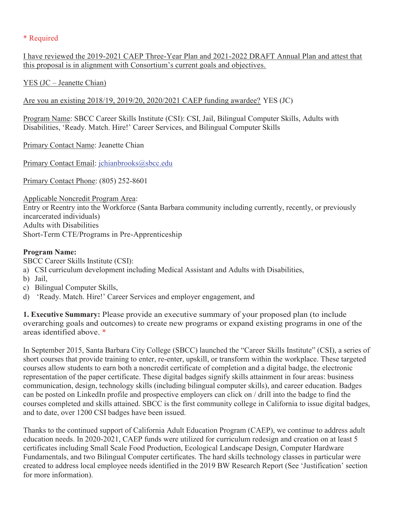## \* Required

I have reviewed the 2019-2021 CAEP Three-Year Plan and 2021-2022 DRAFT Annual Plan and attest that this proposal is in alignment with Consortium's current goals and objectives.

YES (JC – Jeanette Chian)

Are you an existing 2018/19, 2019/20, 2020/2021 CAEP funding awardee? YES (JC)

Program Name: SBCC Career Skills Institute (CSI): CSI, Jail, Bilingual Computer Skills, Adults with Disabilities, 'Ready. Match. Hire!' Career Services, and Bilingual Computer Skills

Primary Contact Name: Jeanette Chian

Primary Contact Email: jchianbrooks@sbcc.edu

Primary Contact Phone: (805) 252-8601

Applicable Noncredit Program Area: Entry or Reentry into the Workforce (Santa Barbara community including currently, recently, or previously incarcerated individuals) Adults with Disabilities Short-Term CTE/Programs in Pre-Apprenticeship

## **Program Name:**

SBCC Career Skills Institute (CSI):

- a) CSI curriculum development including Medical Assistant and Adults with Disabilities,
- b) Jail,
- c) Bilingual Computer Skills,
- d) 'Ready. Match. Hire!' Career Services and employer engagement, and

**1. Executive Summary:** Please provide an executive summary of your proposed plan (to include overarching goals and outcomes) to create new programs or expand existing programs in one of the areas identified above. \*

In September 2015, Santa Barbara City College (SBCC) launched the "Career Skills Institute" (CSI), a series of short courses that provide training to enter, re-enter, upskill, or transform within the workplace. These targeted courses allow students to earn both a noncredit certificate of completion and a digital badge, the electronic representation of the paper certificate. These digital badges signify skills attainment in four areas: business communication, design, technology skills (including bilingual computer skills), and career education. Badges can be posted on LinkedIn profile and prospective employers can click on / drill into the badge to find the courses completed and skills attained. SBCC is the first community college in California to issue digital badges, and to date, over 1200 CSI badges have been issued.

Thanks to the continued support of California Adult Education Program (CAEP), we continue to address adult education needs. In 2020-2021, CAEP funds were utilized for curriculum redesign and creation on at least 5 certificates including Small Scale Food Production, Ecological Landscape Design, Computer Hardware Fundamentals, and two Bilingual Computer certificates. The hard skills technology classes in particular were created to address local employee needs identified in the 2019 BW Research Report (See 'Justification' section for more information).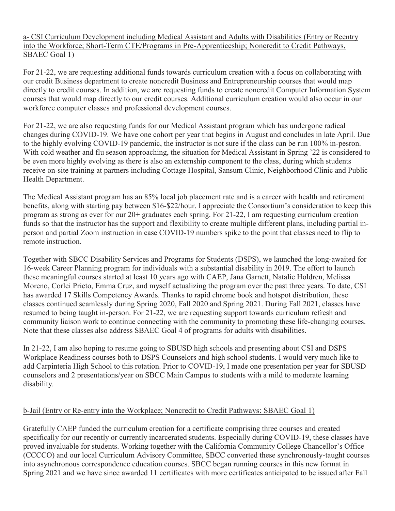a- CSI Curriculum Development including Medical Assistant and Adults with Disabilities (Entry or Reentry into the Workforce; Short-Term CTE/Programs in Pre-Apprenticeship; Noncredit to Credit Pathways, SBAEC Goal 1)

For 21-22, we are requesting additional funds towards curriculum creation with a focus on collaborating with our credit Business department to create noncredit Business and Entrepreneurship courses that would map directly to credit courses. In addition, we are requesting funds to create noncredit Computer Information System courses that would map directly to our credit courses. Additional curriculum creation would also occur in our workforce computer classes and professional development courses.

For 21-22, we are also requesting funds for our Medical Assistant program which has undergone radical changes during COVID-19. We have one cohort per year that begins in August and concludes in late April. Due to the highly evolving COVID-19 pandemic, the instructor is not sure if the class can be run 100% in-pesron. With cold weather and flu season approaching, the situation for Medical Assistant in Spring '22 is considered to be even more highly evolving as there is also an externship component to the class, during which students receive on-site training at partners including Cottage Hospital, Sansum Clinic, Neighborhood Clinic and Public Health Department.

The Medical Assistant program has an 85% local job placement rate and is a career with health and retirement benefits, along with starting pay between \$16-\$22/hour. I appreciate the Consortium's consideration to keep this program as strong as ever for our 20+ graduates each spring. For 21-22, I am requesting curriculum creation funds so that the instructor has the support and flexibility to create multiple different plans, including partial inperson and partial Zoom instruction in case COVID-19 numbers spike to the point that classes need to flip to remote instruction.

Together with SBCC Disability Services and Programs for Students (DSPS), we launched the long-awaited for 16-week Career Planning program for individuals with a substantial disability in 2019. The effort to launch these meaningful courses started at least 10 years ago with CAEP, Jana Garnett, Natalie Holdren, Melissa Moreno, Corlei Prieto, Emma Cruz, and myself actualizing the program over the past three years. To date, CSI has awarded 17 Skills Competency Awards. Thanks to rapid chrome book and hotspot distribution, these classes continued seamlessly during Spring 2020, Fall 2020 and Spring 2021. During Fall 2021, classes have resumed to being taught in-person. For 21-22, we are requesting support towards curriculum refresh and community liaison work to continue connecting with the community to promoting these life-changing courses. Note that these classes also address SBAEC Goal 4 of programs for adults with disabilities.

In 21-22, I am also hoping to resume going to SBUSD high schools and presenting about CSI and DSPS Workplace Readiness courses both to DSPS Counselors and high school students. I would very much like to add Carpinteria High School to this rotation. Prior to COVID-19, I made one presentation per year for SBUSD counselors and 2 presentations/year on SBCC Main Campus to students with a mild to moderate learning disability.

## b-Jail (Entry or Re-entry into the Workplace; Noncredit to Credit Pathways: SBAEC Goal 1)

Gratefully CAEP funded the curriculum creation for a certificate comprising three courses and created specifically for our recently or currently incarcerated students. Especially during COVID-19, these classes have proved invaluable for students. Working together with the California Community College Chancellor's Office (CCCCO) and our local Curriculum Advisory Committee, SBCC converted these synchronously-taught courses into asynchronous correspondence education courses. SBCC began running courses in this new format in Spring 2021 and we have since awarded 11 certificates with more certificates anticipated to be issued after Fall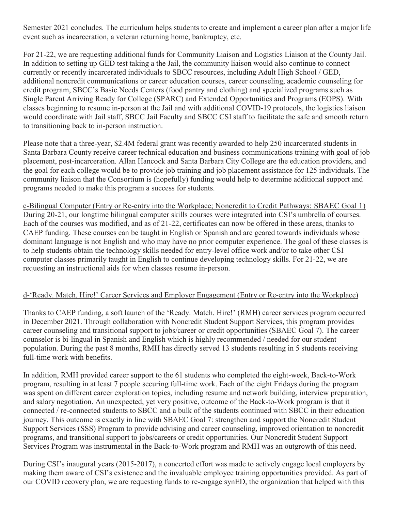Semester 2021 concludes. The curriculum helps students to create and implement a career plan after a major life event such as incarceration, a veteran returning home, bankruptcy, etc.

For 21-22, we are requesting additional funds for Community Liaison and Logistics Liaison at the County Jail. In addition to setting up GED test taking a the Jail, the community liaison would also continue to connect currently or recently incarcerated individuals to SBCC resources, including Adult High School / GED, additional noncredit communications or career education courses, career counseling, academic counseling for credit program, SBCC's Basic Needs Centers (food pantry and clothing) and specialized programs such as Single Parent Arriving Ready for College (SPARC) and Extended Opportunities and Programs (EOPS). With classes beginning to resume in-person at the Jail and with additional COVID-19 protocols, the logistics liaison would coordinate with Jail staff, SBCC Jail Faculty and SBCC CSI staff to facilitate the safe and smooth return to transitioning back to in-person instruction.

Please note that a three-year, \$2.4M federal grant was recently awarded to help 250 incarcerated students in Santa Barbara County receive career technical education and business communications training with goal of job placement, post-incarceration. Allan Hancock and Santa Barbara City College are the education providers, and the goal for each college would be to provide job training and job placement assistance for 125 individuals. The community liaison that the Consortium is (hopefully) funding would help to determine additional support and programs needed to make this program a success for students.

c-Bilingual Computer (Entry or Re-entry into the Workplace; Noncredit to Credit Pathways: SBAEC Goal 1) During 20-21, our longtime bilingual computer skills courses were integrated into CSI's umbrella of courses. Each of the courses was modified, and as of 21-22, certificates can now be offered in these areas, thanks to CAEP funding. These courses can be taught in English or Spanish and are geared towards individuals whose dominant language is not English and who may have no prior computer experience. The goal of these classes is to help students obtain the technology skills needed for entry-level office work and/or to take other CSI computer classes primarily taught in English to continue developing technology skills. For 21-22, we are requesting an instructional aids for when classes resume in-person.

### d-'Ready. Match. Hire!' Career Services and Employer Engagement (Entry or Re-entry into the Workplace)

Thanks to CAEP funding, a soft launch of the 'Ready. Match. Hire!' (RMH) career services program occurred in December 2021. Through collaboration with Noncredit Student Support Services, this program provides career counseling and transitional support to jobs/career or credit opportunities (SBAEC Goal 7). The career counselor is bi-lingual in Spanish and English which is highly recommended / needed for our student population. During the past 8 months, RMH has directly served 13 students resulting in 5 students receiving full-time work with benefits.

In addition, RMH provided career support to the 61 students who completed the eight-week, Back-to-Work program, resulting in at least 7 people securing full-time work. Each of the eight Fridays during the program was spent on different career exploration topics, including resume and network building, interview preparation, and salary negotiation. An unexpected, yet very positive, outcome of the Back-to-Work program is that it connected / re-connected students to SBCC and a bulk of the students continued with SBCC in their education journey. This outcome is exactly in line with SBAEC Goal 7: strengthen and support the Noncredit Student Support Services (SSS) Program to provide advising and career counseling, improved orientation to noncredit programs, and transitional support to jobs/careers or credit opportunities. Our Noncredit Student Support Services Program was instrumental in the Back-to-Work program and RMH was an outgrowth of this need.

During CSI's inaugural years (2015-2017), a concerted effort was made to actively engage local employers by making them aware of CSI's existence and the invaluable employee training opportunities provided. As part of our COVID recovery plan, we are requesting funds to re-engage synED, the organization that helped with this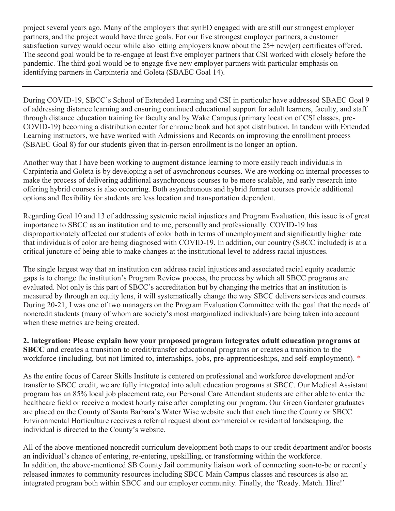project several years ago. Many of the employers that synED engaged with are still our strongest employer partners, and the project would have three goals. For our five strongest employer partners, a customer satisfaction survey would occur while also letting employers know about the 25+ new(er) certificates offered. The second goal would be to re-engage at least five employer partners that CSI worked with closely before the pandemic. The third goal would be to engage five new employer partners with particular emphasis on identifying partners in Carpinteria and Goleta (SBAEC Goal 14).

During COVID-19, SBCC's School of Extended Learning and CSI in particular have addressed SBAEC Goal 9 of addressing distance learning and ensuring continued educational support for adult learners, faculty, and staff through distance education training for faculty and by Wake Campus (primary location of CSI classes, pre-COVID-19) becoming a distribution center for chrome book and hot spot distribution. In tandem with Extended Learning instructors, we have worked with Admissions and Records on improving the enrollment process (SBAEC Goal 8) for our students given that in-person enrollment is no longer an option.

Another way that I have been working to augment distance learning to more easily reach individuals in Carpinteria and Goleta is by developing a set of asynchronous courses. We are working on internal processes to make the process of delivering additional asynchronous courses to be more scalable, and early research into offering hybrid courses is also occurring. Both asynchronous and hybrid format courses provide additional options and flexibility for students are less location and transportation dependent.

Regarding Goal 10 and 13 of addressing systemic racial injustices and Program Evaluation, this issue is of great importance to SBCC as an institution and to me, personally and professionally. COVID-19 has disproportionately affected our students of color both in terms of unemployment and significantly higher rate that individuals of color are being diagnosed with COVID-19. In addition, our country (SBCC included) is at a critical juncture of being able to make changes at the institutional level to address racial injustices.

The single largest way that an institution can address racial injustices and associated racial equity academic gaps is to change the institution's Program Review process, the process by which all SBCC programs are evaluated. Not only is this part of SBCC's accreditation but by changing the metrics that an institution is measured by through an equity lens, it will systematically change the way SBCC delivers services and courses. During 20-21, I was one of two managers on the Program Evaluation Committee with the goal that the needs of noncredit students (many of whom are society's most marginalized individuals) are being taken into account when these metrics are being created.

**2. Integration: Please explain how your proposed program integrates adult education programs at SBCC** and creates a transition to credit/transfer educational programs or creates a transition to the workforce (including, but not limited to, internships, jobs, pre-apprenticeships, and self-employment). \*

As the entire focus of Career Skills Institute is centered on professional and workforce development and/or transfer to SBCC credit, we are fully integrated into adult education programs at SBCC. Our Medical Assistant program has an 85% local job placement rate, our Personal Care Attendant students are either able to enter the healthcare field or receive a modest hourly raise after completing our program. Our Green Gardener graduates are placed on the County of Santa Barbara's Water Wise website such that each time the County or SBCC Environmental Horticulture receives a referral request about commercial or residential landscaping, the individual is directed to the County's website.

All of the above-mentioned noncredit curriculum development both maps to our credit department and/or boosts an individual's chance of entering, re-entering, upskilling, or transforming within the workforce. In addition, the above-mentioned SB County Jail community liaison work of connecting soon-to-be or recently released inmates to community resources including SBCC Main Campus classes and resources is also an integrated program both within SBCC and our employer community. Finally, the 'Ready. Match. Hire!'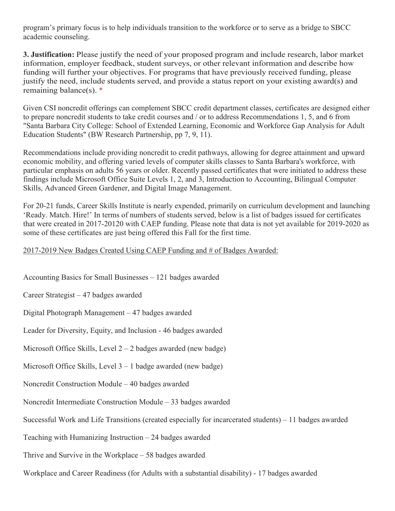program's primary focus is to help individuals transition to the workforce or to serve as a bridge to SBCC academic counseling.

**3. Justification:** Please justify the need of your proposed program and include research, labor market information, employer feedback, student surveys, or other relevant information and describe how funding will further your objectives. For programs that have previously received funding, please justify the need, include students served, and provide a status report on your existing award(s) and remaining balance(s). \*

Given CSI noncredit offerings can complement SBCC credit department classes, certificates are designed either to prepare noncredit students to take credit courses and / or to address Recommendations 1, 5, and 6 from "Santa Barbara City College: School of Extended Learning, Economic and Workforce Gap Analysis for Adult Education Students" (BW Research Partnership, pp 7, 9, 11).

Recommendations include providing noncredit to credit pathways, allowing for degree attainment and upward economic mobility, and offering varied levels of computer skills classes to Santa Barbara's workforce, with particular emphasis on adults 56 years or older. Recently passed certificates that were initiated to address these findings include Microsoft Office Suite Levels 1, 2, and 3, Introduction to Accounting, Bilingual Computer Skills, Advanced Green Gardener, and Digital Image Management.

For 20-21 funds, Career Skills Institute is nearly expended, primarily on curriculum development and launching 'Ready. Match. Hire!' In terms of numbers of students served, below is a list of badges issued for certificates that were created in 2017-20120 with CAEP funding. Please note that data is not yet available for 2019-2020 as some of these certificates are just being offered this Fall for the first time.

#### 2017-2019 New Badges Created Using CAEP Funding and # of Badges Awarded:

Accounting Basics for Small Businesses – 121 badges awarded

Career Strategist – 47 badges awarded

Digital Photograph Management – 47 badges awarded

Leader for Diversity, Equity, and Inclusion - 46 badges awarded

Microsoft Office Skills, Level  $2 - 2$  badges awarded (new badge)

Microsoft Office Skills, Level 3 – 1 badge awarded (new badge)

Noncredit Construction Module – 40 badges awarded

Noncredit Intermediate Construction Module – 33 badges awarded

Successful Work and Life Transitions (created especially for incarcerated students) – 11 badges awarded

Teaching with Humanizing Instruction – 24 badges awarded

Thrive and Survive in the Workplace – 58 badges awarded

Workplace and Career Readiness (for Adults with a substantial disability) - 17 badges awarded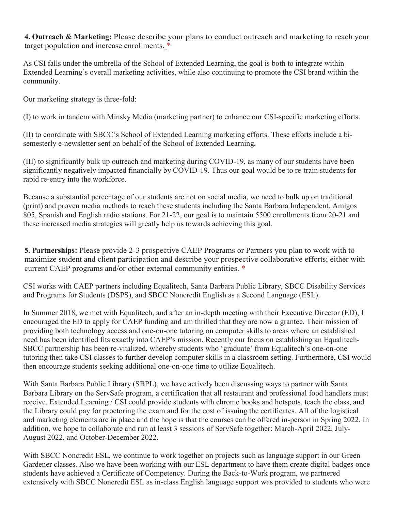**4. Outreach & Marketing:** Please describe your plans to conduct outreach and marketing to reach your target population and increase enrollments. \*

As CSI falls under the umbrella of the School of Extended Learning, the goal is both to integrate within Extended Learning's overall marketing activities, while also continuing to promote the CSI brand within the community.

Our marketing strategy is three-fold:

(I) to work in tandem with Minsky Media (marketing partner) to enhance our CSI-specific marketing efforts.

(II) to coordinate with SBCC's School of Extended Learning marketing efforts. These efforts include a bisemesterly e-newsletter sent on behalf of the School of Extended Learning,

(III) to significantly bulk up outreach and marketing during COVID-19, as many of our students have been significantly negatively impacted financially by COVID-19. Thus our goal would be to re-train students for rapid re-entry into the workforce.

Because a substantial percentage of our students are not on social media, we need to bulk up on traditional (print) and proven media methods to reach these students including the Santa Barbara Independent, Amigos 805, Spanish and English radio stations. For 21-22, our goal is to maintain 5500 enrollments from 20-21 and these increased media strategies will greatly help us towards achieving this goal.

**5. Partnerships:** Please provide 2-3 prospective CAEP Programs or Partners you plan to work with to maximize student and client participation and describe your prospective collaborative efforts; either with current CAEP programs and/or other external community entities. \*

CSI works with CAEP partners including Equalitech, Santa Barbara Public Library, SBCC Disability Services and Programs for Students (DSPS), and SBCC Noncredit English as a Second Language (ESL).

In Summer 2018, we met with Equalitech, and after an in-depth meeting with their Executive Director (ED), I encouraged the ED to apply for CAEP funding and am thrilled that they are now a grantee. Their mission of providing both technology access and one-on-one tutoring on computer skills to areas where an established need has been identified fits exactly into CAEP's mission. Recently our focus on establishing an Equalitech-SBCC partnership has been re-vitalized, whereby students who 'graduate' from Equalitech's one-on-one tutoring then take CSI classes to further develop computer skills in a classroom setting. Furthermore, CSI would then encourage students seeking additional one-on-one time to utilize Equalitech.

With Santa Barbara Public Library (SBPL), we have actively been discussing ways to partner with Santa Barbara Library on the ServSafe program, a certification that all restaurant and professional food handlers must receive. Extended Learning / CSI could provide students with chrome books and hotspots, teach the class, and the Library could pay for proctoring the exam and for the cost of issuing the certificates. All of the logistical and marketing elements are in place and the hope is that the courses can be offered in-person in Spring 2022. In addition, we hope to collaborate and run at least 3 sessions of ServSafe together: March-April 2022, July-August 2022, and October-December 2022.

With SBCC Noncredit ESL, we continue to work together on projects such as language support in our Green Gardener classes. Also we have been working with our ESL department to have them create digital badges once students have achieved a Certificate of Competency. During the Back-to-Work program, we partnered extensively with SBCC Noncredit ESL as in-class English language support was provided to students who were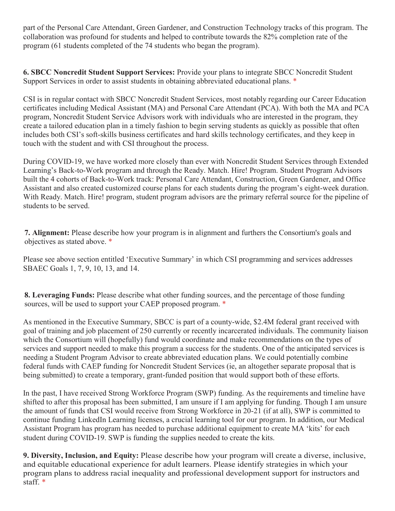part of the Personal Care Attendant, Green Gardener, and Construction Technology tracks of this program. The collaboration was profound for students and helped to contribute towards the 82% completion rate of the program (61 students completed of the 74 students who began the program).

**6. SBCC Noncredit Student Support Services:** Provide your plans to integrate SBCC Noncredit Student Support Services in order to assist students in obtaining abbreviated educational plans. \*

CSI is in regular contact with SBCC Noncredit Student Services, most notably regarding our Career Education certificates including Medical Assistant (MA) and Personal Care Attendant (PCA). With both the MA and PCA program, Noncredit Student Service Advisors work with individuals who are interested in the program, they create a tailored education plan in a timely fashion to begin serving students as quickly as possible that often includes both CSI's soft-skills business certificates and hard skills technology certificates, and they keep in touch with the student and with CSI throughout the process.

During COVID-19, we have worked more closely than ever with Noncredit Student Services through Extended Learning's Back-to-Work program and through the Ready. Match. Hire! Program. Student Program Advisors built the 4 cohorts of Back-to-Work track: Personal Care Attendant, Construction, Green Gardener, and Office Assistant and also created customized course plans for each students during the program's eight-week duration. With Ready. Match. Hire! program, student program advisors are the primary referral source for the pipeline of students to be served.

**7. Alignment:** Please describe how your program is in alignment and furthers the Consortium's goals and objectives as stated above. \*

Please see above section entitled 'Executive Summary' in which CSI programming and services addresses SBAEC Goals 1, 7, 9, 10, 13, and 14.

**8. Leveraging Funds:** Please describe what other funding sources, and the percentage of those funding sources, will be used to support your CAEP proposed program.  $*$ 

As mentioned in the Executive Summary, SBCC is part of a county-wide, \$2.4M federal grant received with goal of training and job placement of 250 currently or recently incarcerated individuals. The community liaison which the Consortium will (hopefully) fund would coordinate and make recommendations on the types of services and support needed to make this program a success for the students. One of the anticipated services is needing a Student Program Advisor to create abbreviated education plans. We could potentially combine federal funds with CAEP funding for Noncredit Student Services (ie, an altogether separate proposal that is being submitted) to create a temporary, grant-funded position that would support both of these efforts.

In the past, I have received Strong Workforce Program (SWP) funding. As the requirements and timeline have shifted to after this proposal has been submitted, I am unsure if I am applying for funding. Though I am unsure the amount of funds that CSI would receive from Strong Workforce in 20-21 (if at all), SWP is committed to continue funding LinkedIn Learning licenses, a crucial learning tool for our program. In addition, our Medical Assistant Program has program has needed to purchase additional equipment to create MA 'kits' for each student during COVID-19. SWP is funding the supplies needed to create the kits.

**9. Diversity, Inclusion, and Equity:** Please describe how your program will create a diverse, inclusive, and equitable educational experience for adult learners. Please identify strategies in which your program plans to address racial inequality and professional development support for instructors and staff. \*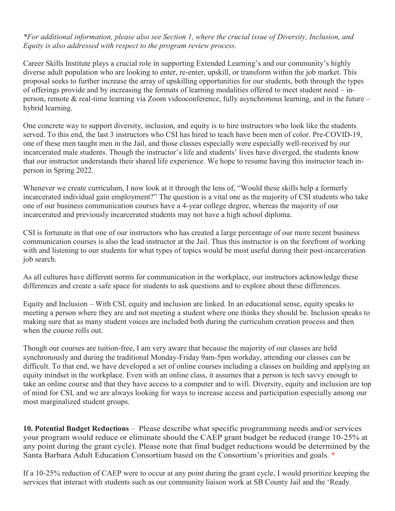*\*For additional information, please also see Section 1, where the crucial issue of Diversity, Inclusion, and Equity is also addressed with respect to the program review process.* 

Career Skills Institute plays a crucial role in supporting Extended Learning's and our community's highly diverse adult population who are looking to enter, re-enter, upskill, or transform within the job market. This proposal seeks to further increase the array of upskilling opportunities for our students, both through the types of offerings provide and by increasing the formats of learning modalities offered to meet student need – inperson, remote & real-time learning via Zoom videoconference, fully asynchronous learning, and in the future – hybrid learning.

One concrete way to support diversity, inclusion, and equity is to hire instructors who look like the students served. To this end, the last 3 instructors who CSI has hired to teach have been men of color. Pre-COVID-19, one of these men taught men in the Jail, and those classes especially were especially well-received by our incarcerated male students. Though the instructor's life and students' lives have diverged, the students know that our instructor understands their shared life experience. We hope to resume having this instructor teach inperson in Spring 2022.

Whenever we create curriculum, I now look at it through the lens of, "Would these skills help a formerly incarcerated individual gain employment?" The question is a vital one as the majority of CSI students who take one of our business communication courses have a 4-year college degree, whereas the majority of our incarcerated and previously incarcerated students may not have a high school diploma.

CSI is fortunate in that one of our instructors who has created a large percentage of our more recent business communication courses is also the lead instructor at the Jail. Thus this instructor is on the forefront of working with and listening to our students for what types of topics would be most useful during their post-incarceration job search.

As all cultures have different norms for communication in the workplace, our instructors acknowledge these differences and create a safe space for students to ask questions and to explore about these differences.

Equity and Inclusion – With CSI, equity and inclusion are linked. In an educational sense, equity speaks to meeting a person where they are and not meeting a student where one thinks they should be. Inclusion speaks to making sure that as many student voices are included both during the curriculum creation process and then when the course rolls out.

Though our courses are tuition-free, I am very aware that because the majority of our classes are held synchronously and during the traditional Monday-Friday 9am-5pm workday, attending our classes can be difficult. To that end, we have developed a set of online courses including a classes on building and applying an equity mindset in the workplace. Even with an online class, it assumes that a person is tech savvy enough to take an online course and that they have access to a computer and to wifi. Diversity, equity and inclusion are top of mind for CSI, and we are always looking for ways to increase access and participation especially among our most marginalized student groups.

**10. Potential Budget Reductions** – Please describe what specific programming needs and/or services your program would reduce or eliminate should the CAEP grant budget be reduced (range 10-25% at any point during the grant cycle). Please note that final budget reductions would be determined by the Santa Barbara Adult Education Consortium based on the Consortium's priorities and goals. \*

If a 10-25% reduction of CAEP were to occur at any point during the grant cycle, I would prioritize keeping the services that interact with students such as our community liaison work at SB County Jail and the 'Ready.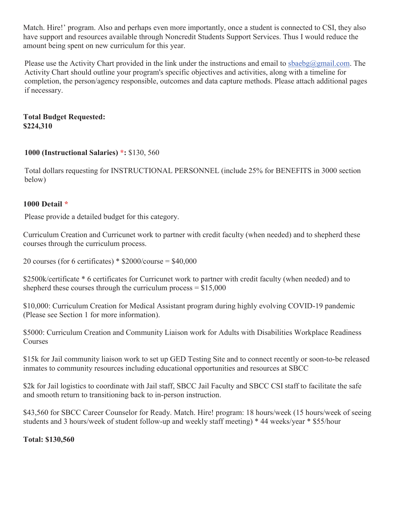Match. Hire!' program. Also and perhaps even more importantly, once a student is connected to CSI, they also have support and resources available through Noncredit Students Support Services. Thus I would reduce the amount being spent on new curriculum for this year.

Please use the Activity Chart provided in the link under the instructions and email to sbaebg@gmail.com. The Activity Chart should outline your program's specific objectives and activities, along with a timeline for completion, the person/agency responsible, outcomes and data capture methods. Please attach additional pages if necessary.

### **Total Budget Requested: \$224,310**

## **1000 (Instructional Salaries) \*:** \$130, 560

Total dollars requesting for INSTRUCTIONAL PERSONNEL (include 25% for BENEFITS in 3000 section below)

## **1000 Detail \***

Please provide a detailed budget for this category.

Curriculum Creation and Curricunet work to partner with credit faculty (when needed) and to shepherd these courses through the curriculum process.

20 courses (for 6 certificates)  $*$  \$2000/course = \$40,000

\$2500k/certificate \* 6 certificates for Curricunet work to partner with credit faculty (when needed) and to shepherd these courses through the curriculum process  $= $15,000$ 

\$10,000: Curriculum Creation for Medical Assistant program during highly evolving COVID-19 pandemic (Please see Section 1 for more information).

\$5000: Curriculum Creation and Community Liaison work for Adults with Disabilities Workplace Readiness Courses

\$15k for Jail community liaison work to set up GED Testing Site and to connect recently or soon-to-be released inmates to community resources including educational opportunities and resources at SBCC

\$2k for Jail logistics to coordinate with Jail staff, SBCC Jail Faculty and SBCC CSI staff to facilitate the safe and smooth return to transitioning back to in-person instruction.

\$43,560 for SBCC Career Counselor for Ready. Match. Hire! program: 18 hours/week (15 hours/week of seeing students and 3 hours/week of student follow-up and weekly staff meeting) \* 44 weeks/year \* \$55/hour

**Total: \$130,560**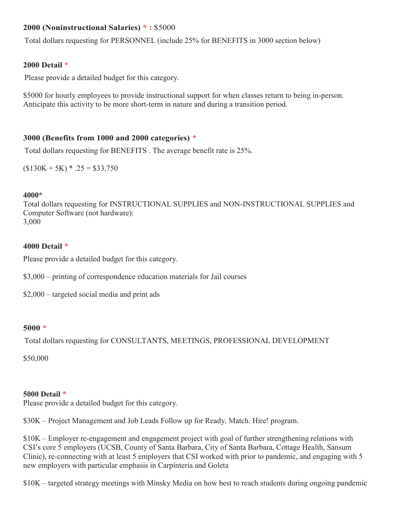## **2000 (Noninstructional Salaries) \* :** \$5000

Total dollars requesting for PERSONNEL (include 25% for BENEFITS in 3000 section below)

### **2000 Detail \***

Please provide a detailed budget for this category.

\$5000 for hourly employees to provide instructional support for when classes return to being in-person. Anticipate this activity to be more short-term in nature and during a transition period.

## **3000 (Benefits from 1000 and 2000 categories) \***

Total dollars requesting for BENEFITS . The average benefit rate is 25%.

 $($130K + 5K) * .25 = $33,750$ 

### **4000\***

Total dollars requesting for INSTRUCTIONAL SUPPLIES and NON-INSTRUCTIONAL SUPPLIES and Computer Software (not hardware): 3,000

### **4000 Detail \***

Please provide a detailed budget for this category.

- \$3,000 printing of correspondence education materials for Jail courses
- \$2,000 targeted social media and print ads

### **5000 \***

Total dollars requesting for CONSULTANTS, MEETINGS, PROFESSIONAL DEVELOPMENT

\$50,000

### **5000 Detail** \*

Please provide a detailed budget for this category.

\$30K – Project Management and Job Leads Follow up for Ready. Match. Hire! program.

\$10K – Employer re-engagement and engagement project with goal of further strengthening relations with CSI's core 5 employers (UCSB, County of Santa Barbara, City of Santa Barbara, Cottage Health, Sansum Clinic), re-connecting with at least 5 employers that CSI worked with prior to pandemic, and engaging with 5 new employers with particular emphasis in Carpinteria and Goleta

\$10K – targeted strategy meetings with Minsky Media on how best to reach students during ongoing pandemic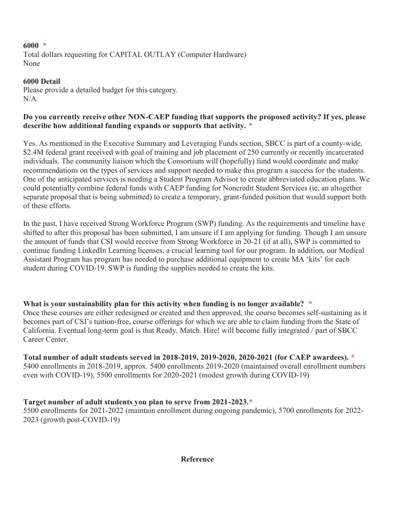### **6000** \*

Total dollars requesting for CAPITAL OUTLAY (Computer Hardware) None

# **6000 Detail**

Please provide a detailed budget for this category. N/A

## **Do you currently receive other NON-CAEP funding that supports the proposed activity? If yes, please describe how additional funding expands or supports that activity.** \*

Yes. As mentioned in the Executive Summary and Leveraging Funds section, SBCC is part of a county-wide, \$2.4M federal grant received with goal of training and job placement of 250 currently or recently incarcerated individuals. The community liaison which the Consortium will (hopefully) fund would coordinate and make recommendations on the types of services and support needed to make this program a success for the students. One of the anticipated services is needing a Student Program Advisor to create abbreviated education plans. We could potentially combine federal funds with CAEP funding for Noncredit Student Services (ie, an altogether separate proposal that is being submitted) to create a temporary, grant-funded position that would support both of these efforts.

In the past, I have received Strong Workforce Program (SWP) funding. As the requirements and timeline have shifted to after this proposal has been submitted, I am unsure if I am applying for funding. Though I am unsure the amount of funds that CSI would receive from Strong Workforce in 20-21 (if at all), SWP is committed to continue funding LinkedIn Learning licenses, a crucial learning tool for our program. In addition, our Medical Assistant Program has program has needed to purchase additional equipment to create MA 'kits' for each student during COVID-19. SWP is funding the supplies needed to create the kits.

## **What is your sustainability plan for this activity when funding is no longer available?** \*

Once these courses are either redesigned or created and then approved, the course becomes self-sustaining as it becomes part of CSI's tuition-free, course offerings for which we are able to claim funding from the State of California. Eventual long-term goal is that Ready. Match. Hire! will become fully integrated / part of SBCC Career Center.

## **Total number of adult students served in 2018-2019, 2019-2020, 2020-2021 (for CAEP awardees). \***

5400 enrollments in 2018-2019, approx. 5400 enrollments 2019-2020 (maintained overall enrollment numbers even with COVID-19), 5500 enrollments for 2020-2021 (modest growth during COVID-19)

## **Target number of adult students you plan to serve from 2021-2023.\***

5500 enrollments for 2021-2022 (maintain enrollment during ongoing pandemic), 5700 enrollments for 2022- 2023 (growth post-COVID-19)